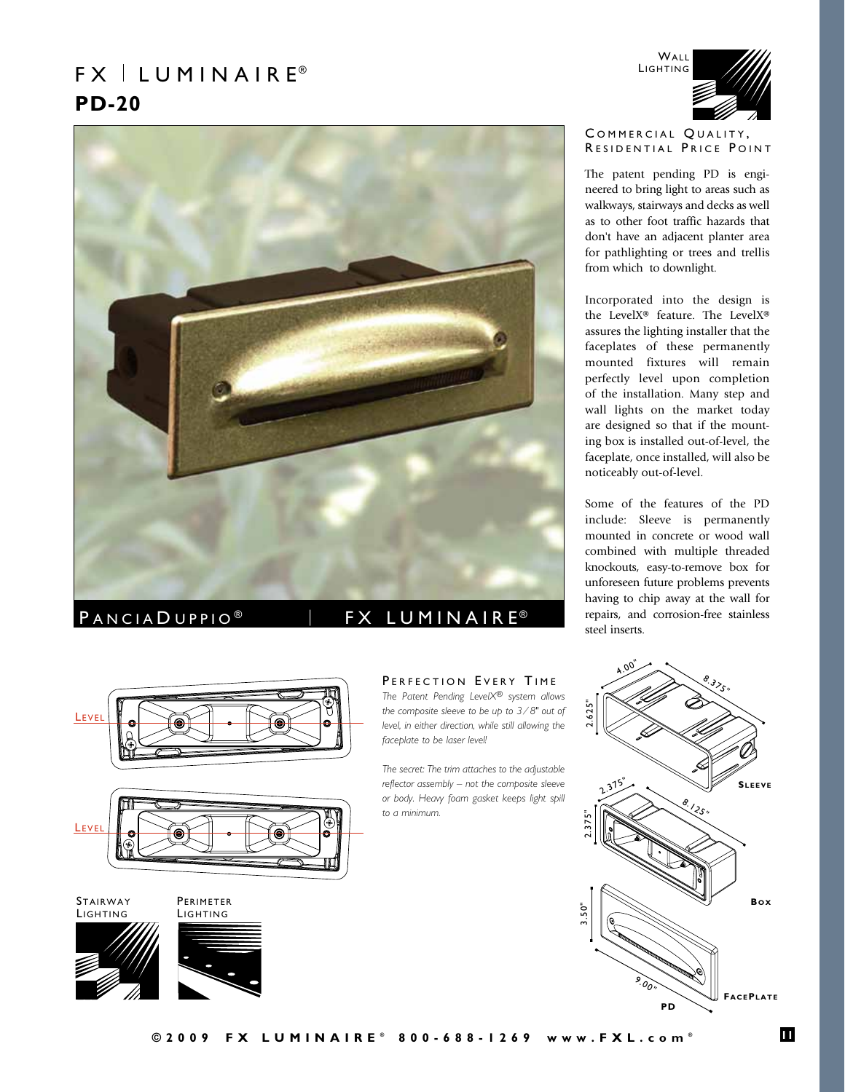# $FX \perp LUMIN AIR E<sup>®</sup>$ **PD-20**



## PANCIAD UPPIO<sup>®</sup> | FX LUMINAIRE<sup>®</sup>

*faceplate to be laser level!*





**STAIRWAY LIGHTING** 

**PERIMETER** 





## PERFECTION EVERY TIME *The Patent Pending LevelX® system allows the composite sleeve to be up to 3 ⁄ 8" out of level, in either direction, while still allowing the*

*The secret: The trim attaches to the adjustable reflector assembly – not the composite sleeve or body. Heavy foam gasket keeps light spill to a minimum.* 



### COMMERCIAL QUALITY, RESIDENTIAL PRICE POINT

The patent pending PD is engineered to bring light to areas such as walkways, stairways and decks as well as to other foot traffic hazards that don't have an adjacent planter area for pathlighting or trees and trellis from which to downlight.

Incorporated into the design is the LevelX® feature. The LevelX® assures the lighting installer that the faceplates of these permanently mounted fixtures will remain perfectly level upon completion of the installation. Many step and wall lights on the market today are designed so that if the mounting box is installed out-of-level, the faceplate, once installed, will also be noticeably out-of-level.

Some of the features of the PD include: Sleeve is permanently mounted in concrete or wood wall combined with multiple threaded knockouts, easy-to-remove box for unforeseen future problems prevents having to chip away at the wall for repairs, and corrosion-free stainless steel inserts.